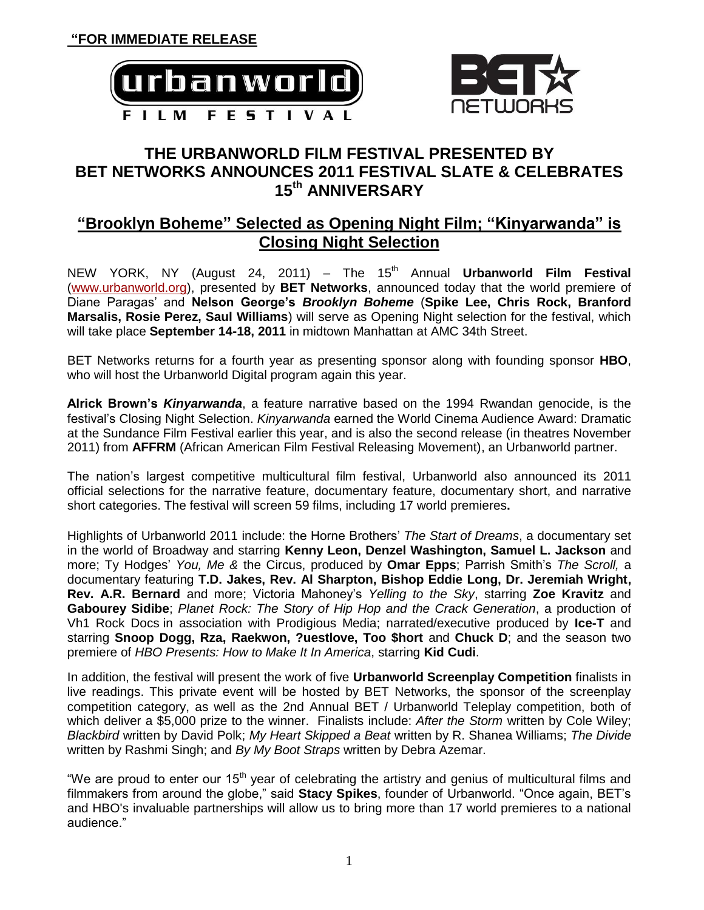



# **THE URBANWORLD FILM FESTIVAL PRESENTED BY BET NETWORKS ANNOUNCES 2011 FESTIVAL SLATE & CELEBRATES 15th ANNIVERSARY**

# **"Brooklyn Boheme" Selected as Opening Night Film; "Kinyarwanda" is Closing Night Selection**

NEW YORK, NY (August 24, 2011) – The 15<sup>th</sup> Annual **Urbanworld Film Festival** [\(www.urbanworld.org\)](http://www.urbanworld.org/), presented by **BET Networks**, announced today that the world premiere of Diane Paragas' and **Nelson George's** *Brooklyn Boheme* (**Spike Lee, Chris Rock, Branford Marsalis, Rosie Perez, Saul Williams**) will serve as Opening Night selection for the festival, which will take place **September 14-18, 2011** in midtown Manhattan at AMC 34th Street.

BET Networks returns for a fourth year as presenting sponsor along with founding sponsor **HBO**, who will host the Urbanworld Digital program again this year.

**Alrick Brown's** *Kinyarwanda*, a feature narrative based on the 1994 Rwandan genocide, is the festival's Closing Night Selection. *Kinyarwanda* earned the World Cinema Audience Award: Dramatic at the Sundance Film Festival earlier this year, and is also the second release (in theatres November 2011) from **AFFRM** (African American Film Festival Releasing Movement), an Urbanworld partner.

The nation's largest competitive multicultural film festival, Urbanworld also announced its 2011 official selections for the narrative feature, documentary feature, documentary short, and narrative short categories. The festival will screen 59 films, including 17 world premieres**.** 

Highlights of Urbanworld 2011 include: the Horne Brothers' *The Start of Dreams*, a documentary set in the world of Broadway and starring **Kenny Leon, Denzel Washington, Samuel L. Jackson** and more; Ty Hodges' *You, Me &* the Circus, produced by **Omar Epps**; Parrish Smith's *The Scroll,* a documentary featuring **T.D. Jakes, Rev. Al Sharpton, Bishop Eddie Long, Dr. Jeremiah Wright, Rev. A.R. Bernard** and more; Victoria Mahoney's *Yelling to the Sky*, starring **Zoe Kravitz** and **Gabourey Sidibe**; *Planet Rock: The Story of Hip Hop and the Crack Generation*, a production of Vh1 Rock Docs in association with Prodigious Media; narrated/executive produced by **Ice-T** and starring **Snoop Dogg, Rza, Raekwon, ?uestlove, Too \$hort** and **Chuck D**; and the season two premiere of *HBO Presents: How to Make It In America*, starring **Kid Cudi**.

In addition, the festival will present the work of five **Urbanworld Screenplay Competition** finalists in live readings. This private event will be hosted by BET Networks, the sponsor of the screenplay competition category, as well as the 2nd Annual BET / Urbanworld Teleplay competition, both of which deliver a \$5,000 prize to the winner. Finalists include: *After the Storm* written by Cole Wiley; *Blackbird* written by David Polk; *My Heart Skipped a Beat* written by R. Shanea Williams; *The Divide*  written by Rashmi Singh; and *By My Boot Straps* written by Debra Azemar.

"We are proud to enter our 15<sup>th</sup> year of celebrating the artistry and genius of multicultural films and filmmakers from around the globe," said **Stacy Spikes**, founder of Urbanworld. "Once again, BET's and HBO's invaluable partnerships will allow us to bring more than 17 world premieres to a national audience."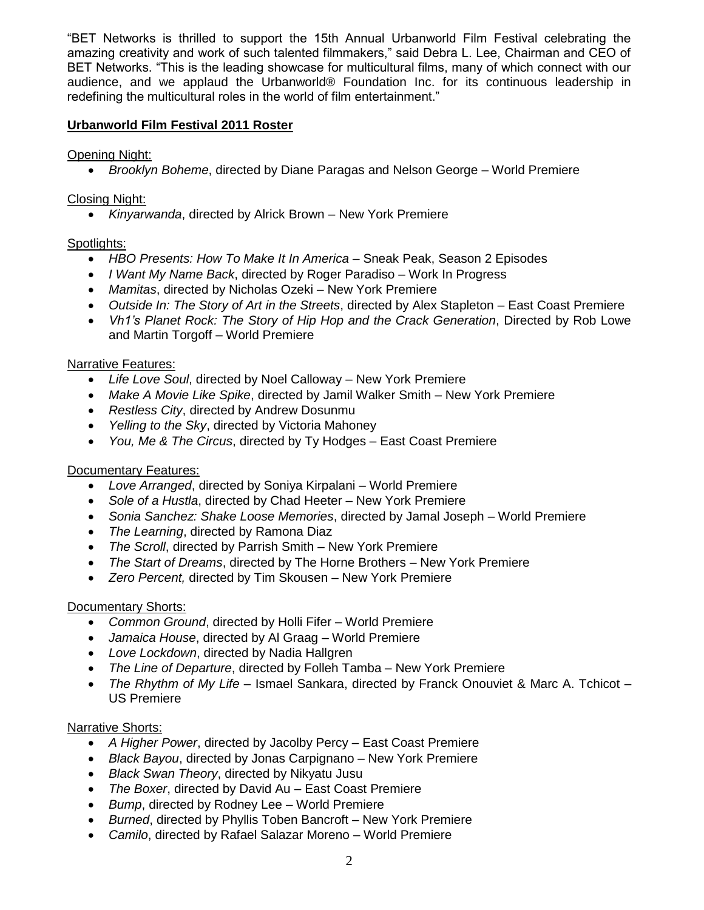"BET Networks is thrilled to support the 15th Annual Urbanworld Film Festival celebrating the amazing creativity and work of such talented filmmakers," said Debra L. Lee, Chairman and CEO of BET Networks. "This is the leading showcase for multicultural films, many of which connect with our audience, and we applaud the Urbanworld® Foundation Inc. for its continuous leadership in redefining the multicultural roles in the world of film entertainment."

#### **Urbanworld Film Festival 2011 Roster**

Opening Night:

*Brooklyn Boheme*, directed by Diane Paragas and Nelson George – World Premiere

## Closing Night:

*Kinyarwanda*, directed by Alrick Brown – New York Premiere

## Spotlights:

- HBO Presents: How To Make It In America Sneak Peak, Season 2 Episodes
- *I Want My Name Back*, directed by Roger Paradiso Work In Progress
- *Mamitas*, directed by Nicholas Ozeki New York Premiere
- *Outside In: The Story of Art in the Streets*, directed by Alex Stapleton East Coast Premiere
- *Vh1's Planet Rock: The Story of Hip Hop and the Crack Generation*, Directed by Rob Lowe and Martin Torgoff – World Premiere

### Narrative Features:

- *Life Love Soul*, directed by Noel Calloway New York Premiere
- *Make A Movie Like Spike*, directed by Jamil Walker Smith New York Premiere
- *Restless City*, directed by Andrew Dosunmu
- *Yelling to the Sky*, directed by Victoria Mahoney
- *You, Me & The Circus*, directed by Ty Hodges East Coast Premiere

#### Documentary Features:

- *Love Arranged*, directed by Soniya Kirpalani World Premiere
- *Sole of a Hustla*, directed by Chad Heeter New York Premiere
- *Sonia Sanchez: Shake Loose Memories*, directed by Jamal Joseph World Premiere
- *The Learning*, directed by Ramona Diaz
- *The Scroll*, directed by Parrish Smith New York Premiere
- *The Start of Dreams*, directed by The Horne Brothers New York Premiere
- *Zero Percent,* directed by Tim Skousen New York Premiere

#### Documentary Shorts:

- *Common Ground*, directed by Holli Fifer World Premiere
- *Jamaica House*, directed by Al Graag World Premiere
- *Love Lockdown*, directed by Nadia Hallgren
- *The Line of Departure*, directed by Folleh Tamba New York Premiere
- *The Rhythm of My Life* Ismael Sankara, directed by Franck Onouviet & Marc A. Tchicot US Premiere

#### Narrative Shorts:

- *A Higher Power*, directed by Jacolby Percy East Coast Premiere
- *Black Bayou*, directed by Jonas Carpignano New York Premiere
- *Black Swan Theory*, directed by Nikyatu Jusu
- *The Boxer*, directed by David Au East Coast Premiere
- *Bump*, directed by Rodney Lee World Premiere
- *Burned*, directed by Phyllis Toben Bancroft New York Premiere
- *Camilo*, directed by Rafael Salazar Moreno World Premiere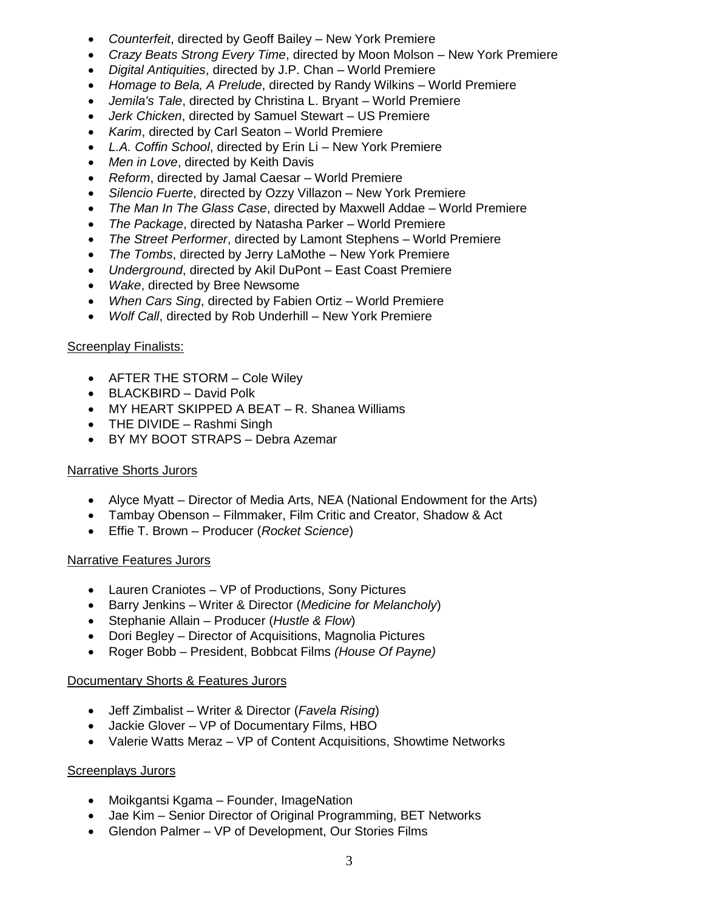- *Counterfeit*, directed by Geoff Bailey New York Premiere
- *Crazy Beats Strong Every Time*, directed by Moon Molson New York Premiere
- *Digital Antiquities*, directed by J.P. Chan World Premiere
- *Homage to Bela, A Prelude*, directed by Randy Wilkins World Premiere
- *Jemila's Tale*, directed by Christina L. Bryant World Premiere
- *Jerk Chicken*, directed by Samuel Stewart US Premiere
- *Karim*, directed by Carl Seaton World Premiere
- *L.A. Coffin School*, directed by Erin Li New York Premiere
- *Men in Love*, directed by Keith Davis
- *Reform*, directed by Jamal Caesar World Premiere
- *Silencio Fuerte*, directed by Ozzy Villazon New York Premiere
- *The Man In The Glass Case*, directed by Maxwell Addae World Premiere
- *The Package*, directed by Natasha Parker World Premiere
- *The Street Performer*, directed by Lamont Stephens World Premiere
- *The Tombs*, directed by Jerry LaMothe New York Premiere
- *Underground*, directed by Akil DuPont East Coast Premiere
- *Wake*, directed by Bree Newsome
- *When Cars Sing*, directed by Fabien Ortiz World Premiere
- *Wolf Call*, directed by Rob Underhill New York Premiere

#### **Screenplay Finalists:**

- AFTER THE STORM Cole Wiley
- BLACKBIRD David Polk
- MY HEART SKIPPED A BEAT R. Shanea Williams
- THE DIVIDE Rashmi Singh
- BY MY BOOT STRAPS Debra Azemar

#### Narrative Shorts Jurors

- Alyce Myatt Director of Media Arts, NEA (National Endowment for the Arts)
- Tambay Obenson Filmmaker, Film Critic and Creator, Shadow & Act
- Effie T. Brown Producer (*Rocket Science*)

#### Narrative Features Jurors

- Lauren Craniotes VP of Productions, Sony Pictures
- Barry Jenkins Writer & Director (*Medicine for Melancholy*)
- Stephanie Allain Producer (*Hustle & Flow*)
- Dori Begley Director of Acquisitions, Magnolia Pictures
- Roger Bobb President, Bobbcat Films *(House Of Payne)*

#### Documentary Shorts & Features Jurors

- Jeff Zimbalist Writer & Director (*Favela Rising*)
- Jackie Glover VP of Documentary Films, HBO
- Valerie Watts Meraz VP of Content Acquisitions, Showtime Networks

#### **Screenplays Jurors**

- Moikgantsi Kgama Founder, ImageNation
- Jae Kim Senior Director of Original Programming, BET Networks
- Glendon Palmer VP of Development, Our Stories Films